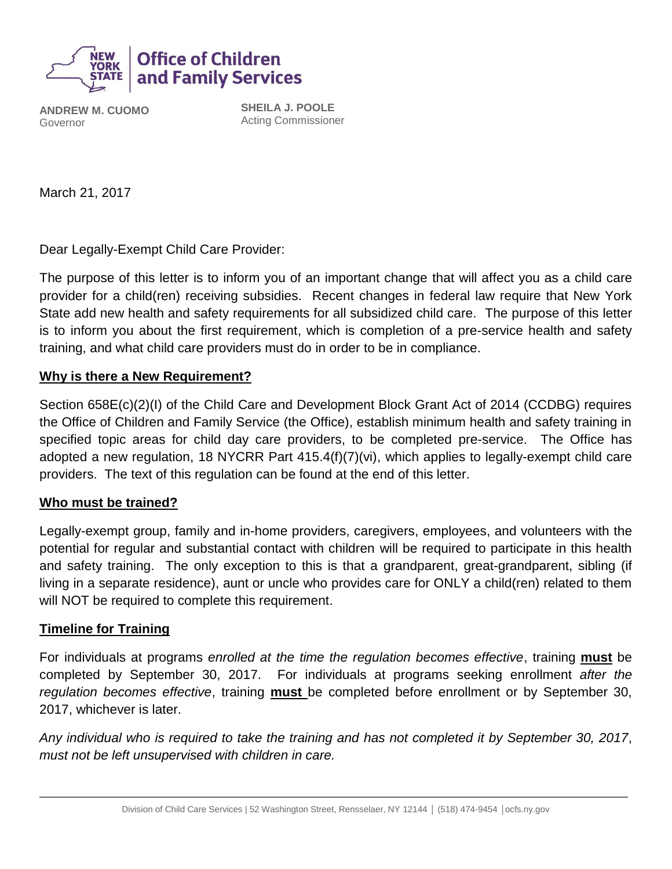

**ANDREW M. CUOMO** Governor

**SHEILA J. POOLE** Acting Commissioner

March 21, 2017

Dear Legally-Exempt Child Care Provider:

The purpose of this letter is to inform you of an important change that will affect you as a child care provider for a child(ren) receiving subsidies. Recent changes in federal law require that New York State add new health and safety requirements for all subsidized child care. The purpose of this letter is to inform you about the first requirement, which is completion of a pre-service health and safety training, and what child care providers must do in order to be in compliance.

#### **Why is there a New Requirement?**

Section 658E(c)(2)(I) of the Child Care and Development Block Grant Act of 2014 (CCDBG) requires the Office of Children and Family Service (the Office), establish minimum health and safety training in specified topic areas for child day care providers, to be completed pre-service. The Office has adopted a new regulation, 18 NYCRR Part 415.4(f)(7)(vi), which applies to legally-exempt child care providers. The text of this regulation can be found at the end of this letter.

#### **Who must be trained?**

Legally-exempt group, family and in-home providers, caregivers, employees, and volunteers with the potential for regular and substantial contact with children will be required to participate in this health and safety training. The only exception to this is that a grandparent, great-grandparent, sibling (if living in a separate residence), aunt or uncle who provides care for ONLY a child(ren) related to them will NOT be required to complete this requirement.

#### **Timeline for Training**

For individuals at programs *enrolled at the time the regulation becomes effective*, training **must** be completed by September 30, 2017. For individuals at programs seeking enrollment *after the regulation becomes effective*, training **must** be completed before enrollment or by September 30, 2017, whichever is later.

*Any individual who is required to take the training and has not completed it by September 30, 2017*, *must not be left unsupervised with children in care.*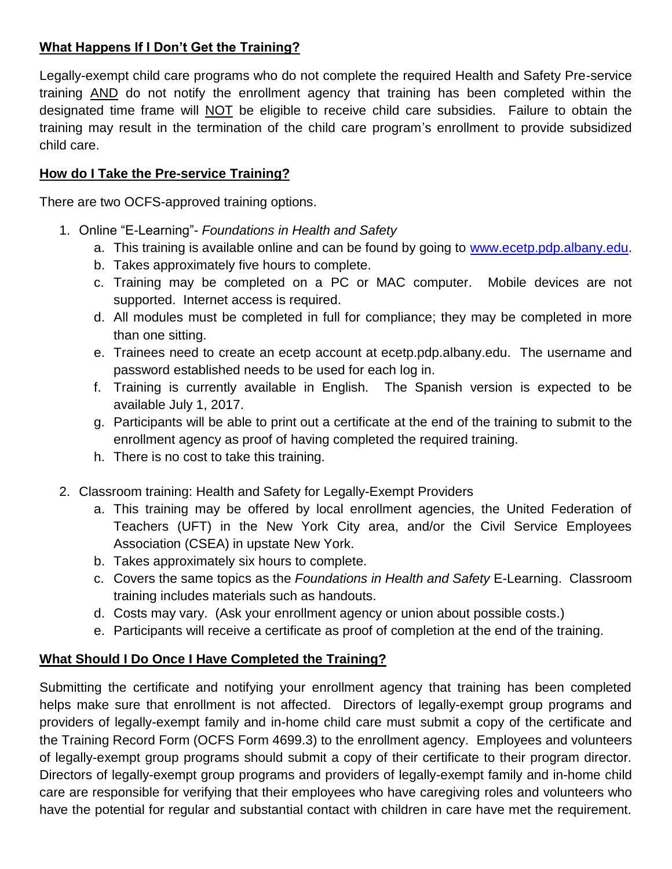# **What Happens If I Don't Get the Training?**

Legally-exempt child care programs who do not complete the required Health and Safety Pre-service training AND do not notify the enrollment agency that training has been completed within the designated time frame will NOT be eligible to receive child care subsidies. Failure to obtain the training may result in the termination of the child care program's enrollment to provide subsidized child care.

# **How do I Take the Pre-service Training?**

There are two OCFS-approved training options.

- 1. Online "E-Learning"- *Foundations in Health and Safety*
	- a. This training is available online and can be found by going to [www.ecetp.pdp.albany.edu.](http://www.ecetp.pdp.albany.edu/)
	- b. Takes approximately five hours to complete.
	- c. Training may be completed on a PC or MAC computer. Mobile devices are not supported. Internet access is required.
	- d. All modules must be completed in full for compliance; they may be completed in more than one sitting.
	- e. Trainees need to create an ecetp account at ecetp.pdp.albany.edu. The username and password established needs to be used for each log in.
	- f. Training is currently available in English. The Spanish version is expected to be available July 1, 2017.
	- g. Participants will be able to print out a certificate at the end of the training to submit to the enrollment agency as proof of having completed the required training.
	- h. There is no cost to take this training.
- 2. Classroom training: Health and Safety for Legally-Exempt Providers
	- a. This training may be offered by local enrollment agencies, the United Federation of Teachers (UFT) in the New York City area, and/or the Civil Service Employees Association (CSEA) in upstate New York.
	- b. Takes approximately six hours to complete.
	- c. Covers the same topics as the *Foundations in Health and Safety* E-Learning. Classroom training includes materials such as handouts.
	- d. Costs may vary. (Ask your enrollment agency or union about possible costs.)
	- e. Participants will receive a certificate as proof of completion at the end of the training.

# **What Should I Do Once I Have Completed the Training?**

Submitting the certificate and notifying your enrollment agency that training has been completed helps make sure that enrollment is not affected. Directors of legally-exempt group programs and providers of legally-exempt family and in-home child care must submit a copy of the certificate and the Training Record Form (OCFS Form 4699.3) to the enrollment agency. Employees and volunteers of legally-exempt group programs should submit a copy of their certificate to their program director. Directors of legally-exempt group programs and providers of legally-exempt family and in-home child care are responsible for verifying that their employees who have caregiving roles and volunteers who have the potential for regular and substantial contact with children in care have met the requirement.